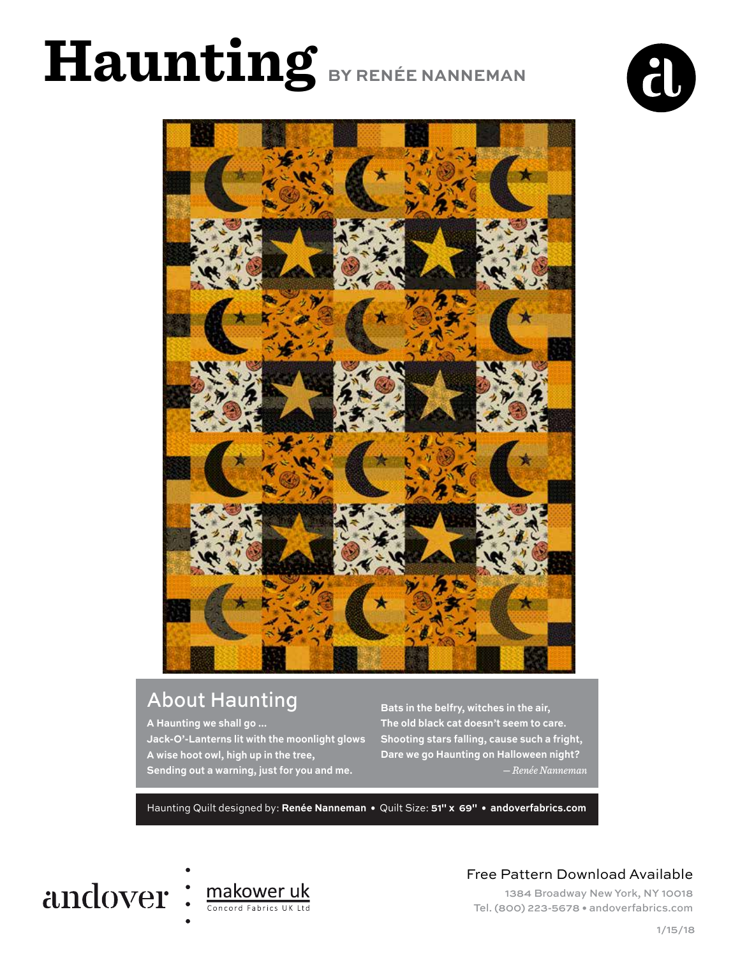# **Haunting BY RENÉE NANNEMAN**





### About Haunting

**A Haunting we shall go ...**

**Jack-O'-Lanterns lit with the moonlight glows A wise hoot owl, high up in the tree, Sending out a warning, just for you and me.**

**Bats in the belfry, witches in the air, The old black cat doesn't seem to care. Shooting stars falling, cause such a fright, Dare we go Haunting on Halloween night?** — *Renée Nanneman*

Haunting Quilt designed by: **Renée Nanneman •** Quilt Size: **51" x 69" • andoverfabrics.com**



#### Free Pattern Download Available

1384 Broadway New York, NY 10018 Tel. (800) 223-5678 • andoverfabrics.com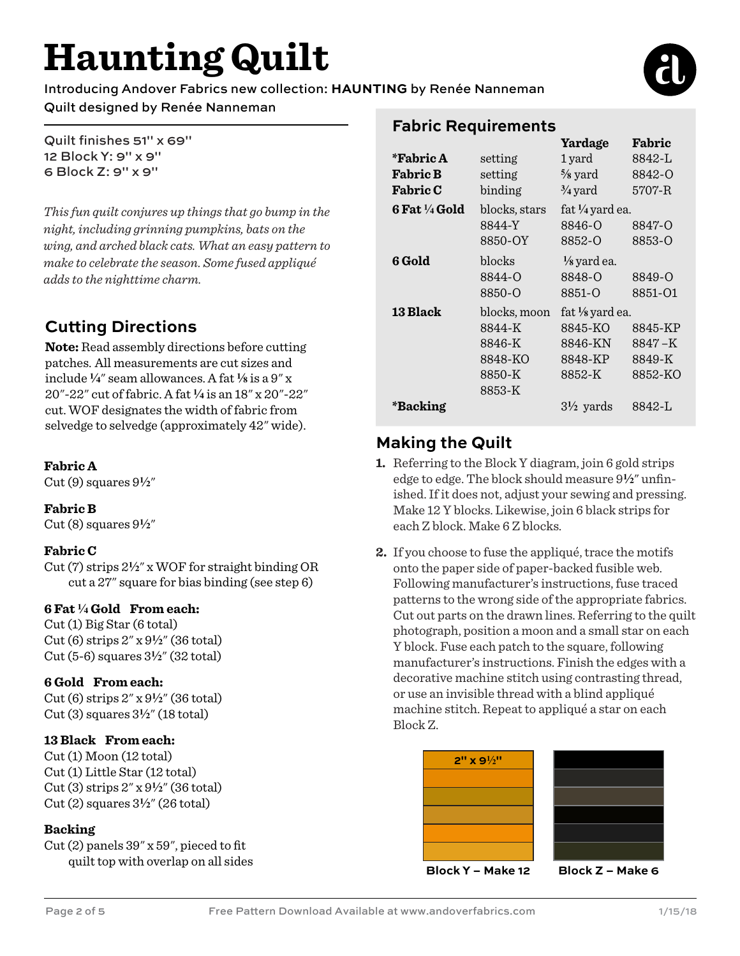### **Haunting Quilt**

Introducing Andover Fabrics new collection: **HAUNTING** by Renée Nanneman

Quilt designed by Renée Nanneman

Quilt finishes 51" x 69" 12 Block Y: 9" x 9" 6 Block Z: 9" x 9"

*This fun quilt conjures up things that go bump in the night, including grinning pumpkins, bats on the wing, and arched black cats. What an easy pattern to make to celebrate the season. Some fused appliqué adds to the nighttime charm.*

#### **Cutting Directions**

**Note:** Read assembly directions before cutting patches. All measurements are cut sizes and include  $\frac{1}{4}$ " seam allowances. A fat  $\frac{1}{8}$  is a  $9$ " x 20"-22" cut of fabric. A fat **4** is an 18" x 20"-22" cut. WOF designates the width of fabric from selvedge to selvedge (approximately 42" wide).

#### **Fabric A**

 $Cut(9)$  squares  $9\frac{1}{2}$ "

#### **Fabric B**

Cut (8) squares 9**2**"

#### **Fabric C**

Cut (7) strips 2**2**" x WOF for straight binding OR cut a 27" square for bias binding (see step 6)

#### **6 Fat 4 Gold From each:**

Cut (1) Big Star (6 total) Cut (6) strips 2" x 9**2**" (36 total) Cut (5-6) squares 3**2**" (32 total)

#### **6 Gold From each:**

Cut (6) strips 2" x 9**2**" (36 total) Cut (3) squares 3**2**" (18 total)

#### **13 Black From each:**

Cut (1) Moon (12 total) Cut (1) Little Star (12 total) Cut (3) strips 2" x 9**2**" (36 total) Cut (2) squares 3**2**" (26 total)

#### **Backing**

Cut (2) panels 39" x 59", pieced to fit quilt top with overlap on all sides

#### **Fabric Requirements**

|                          |               | Yardage                | Fabric                       |  |
|--------------------------|---------------|------------------------|------------------------------|--|
| *Fabric A                | setting       | 1 yard                 | 8842-L                       |  |
| <b>Fabric B</b>          | setting       | $\frac{5}{8}$ yard     | 8842-0                       |  |
| <b>Fabric C</b>          | binding       | $\frac{3}{4}$ yard     | 5707-R                       |  |
| 6 Fat $\frac{1}{4}$ Gold | blocks, stars | fat 1/4 yard ea.       |                              |  |
|                          | 8844-Y        | 8846-Q                 | 8847-0                       |  |
|                          | 8850-OY       | 8852-Q                 | 8853-O                       |  |
| 6 Gold                   | blocks        | $\frac{1}{8}$ yard ea. |                              |  |
|                          | 8844-0        | 8848-Q                 | 8849-Q                       |  |
|                          | 8850-0        | 8851-Q                 | 8851-01                      |  |
| <b>13 Black</b>          | blocks, moon  |                        | fat 1/ <sub>8</sub> yard ea. |  |
|                          | 8844-K        | 8845-KO                | 8845-KP                      |  |
|                          | 8846-K        | 8846-KN                | 8847-K                       |  |
|                          | 8848-KO       | 8848-KP                | 8849-K                       |  |
|                          | 8850-K        | 8852-K                 | 8852-KO                      |  |
|                          | 8853-K        |                        |                              |  |
| *Backing                 |               | $3\frac{1}{2}$ yards   | 8842-L                       |  |

#### **Making the Quilt**

- **1.** Referring to the Block Y diagram, join 6 gold strips edge to edge. The block should measure 9**2**" unfinished. If it does not, adjust your sewing and pressing. Make 12 Y blocks. Likewise, join 6 black strips for each Z block. Make 6 Z blocks.
- **2.** If you choose to fuse the appliqué, trace the motifs onto the paper side of paper-backed fusible web. Following manufacturer's instructions, fuse traced patterns to the wrong side of the appropriate fabrics. Cut out parts on the drawn lines. Referring to the quilt photograph, position a moon and a small star on each Y block. Fuse each patch to the square, following manufacturer's instructions. Finish the edges with a decorative machine stitch using contrasting thread, or use an invisible thread with a blind appliqué machine stitch. Repeat to appliqué a star on each Block Z.

| $2''$ x $9\frac{1}{2}''$ |  |
|--------------------------|--|
|                          |  |
|                          |  |
|                          |  |
|                          |  |
|                          |  |

**Block Y – Make 12 Block Z – Make 6**

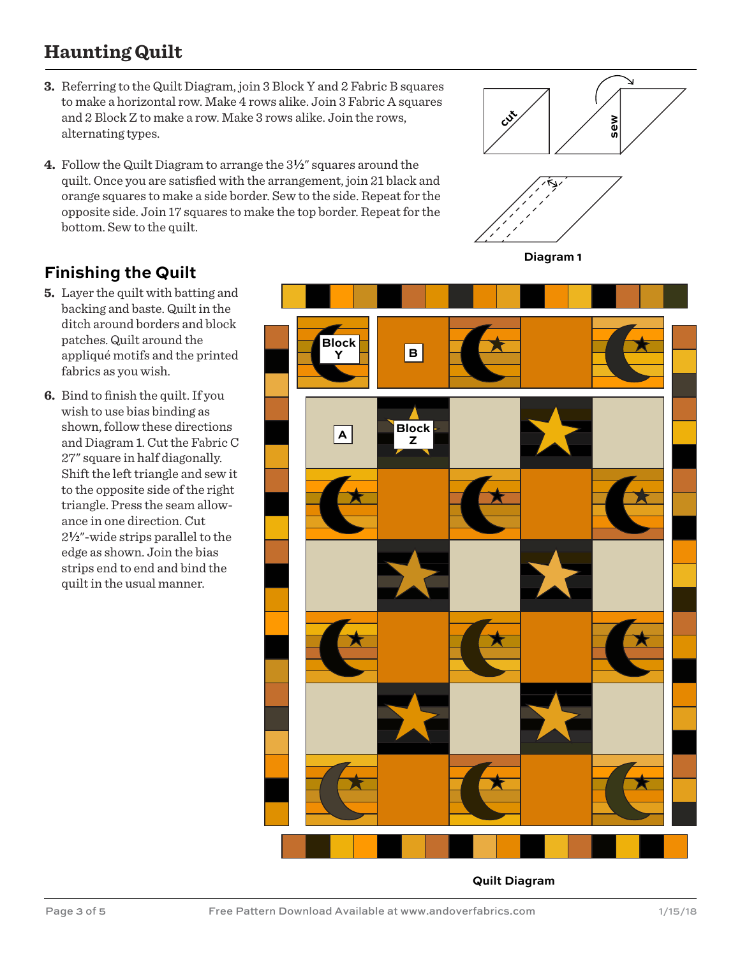#### **Haunting Quilt**

- **3.** Referring to the Quilt Diagram, join 3 Block Y and 2 Fabric B squares to make a horizontal row. Make 4 rows alike. Join 3 Fabric A squares and 2 Block Z to make a row. Make 3 rows alike. Join the rows, alternating types.
- **4.** Follow the Quilt Diagram to arrange the  $3\frac{1}{2}$ " squares around the quilt. Once you are satisfied with the arrangement, join 21 black and orange squares to make a side border. Sew to the side. Repeat for the opposite side. Join 17 squares to make the top border. Repeat for the bottom. Sew to the quilt.







#### **Finishing the Quilt**

- **5.** Layer the quilt with batting and backing and baste. Quilt in the ditch around borders and block patches. Quilt around the appliqué motifs and the printed fabrics as you wish.
- **6.** Bind to finish the quilt. If you wish to use bias binding as shown, follow these directions and Diagram 1. Cut the Fabric C 27" square in half diagonally. Shift the left triangle and sew it to the opposite side of the right triangle. Press the seam allowance in one direction. Cut 2**2**"-wide strips parallel to the edge as shown. Join the bias strips end to end and bind the quilt in the usual manner.



#### **Quilt Diagram**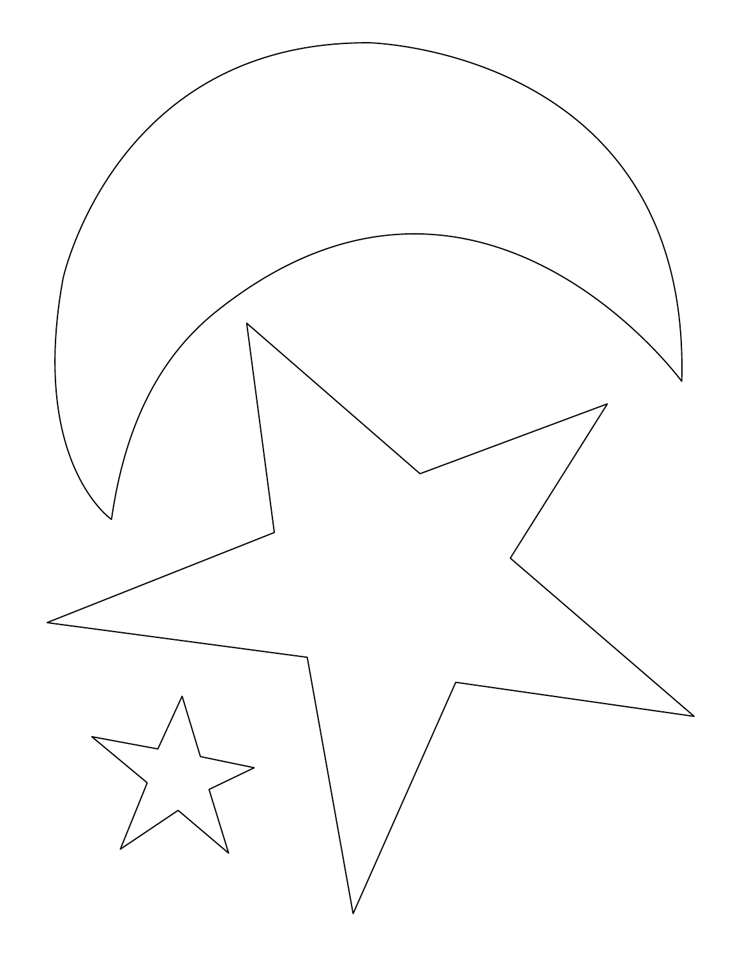